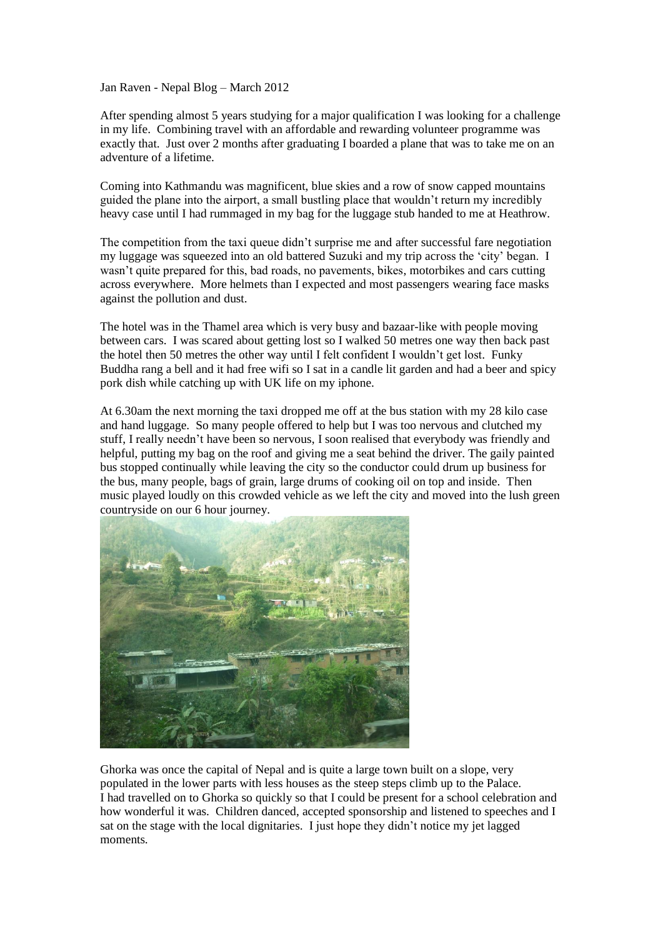Jan Raven - Nepal Blog – March 2012

After spending almost 5 years studying for a major qualification I was looking for a challenge in my life. Combining travel with an affordable and rewarding volunteer programme was exactly that. Just over 2 months after graduating I boarded a plane that was to take me on an adventure of a lifetime.

Coming into Kathmandu was magnificent, blue skies and a row of snow capped mountains guided the plane into the airport, a small bustling place that wouldn't return my incredibly heavy case until I had rummaged in my bag for the luggage stub handed to me at Heathrow.

The competition from the taxi queue didn't surprise me and after successful fare negotiation my luggage was squeezed into an old battered Suzuki and my trip across the 'city' began. I wasn't quite prepared for this, bad roads, no pavements, bikes, motorbikes and cars cutting across everywhere. More helmets than I expected and most passengers wearing face masks against the pollution and dust.

The hotel was in the Thamel area which is very busy and bazaar-like with people moving between cars. I was scared about getting lost so I walked 50 metres one way then back past the hotel then 50 metres the other way until I felt confident I wouldn't get lost. Funky Buddha rang a bell and it had free wifi so I sat in a candle lit garden and had a beer and spicy pork dish while catching up with UK life on my iphone.

At 6.30am the next morning the taxi dropped me off at the bus station with my 28 kilo case and hand luggage. So many people offered to help but I was too nervous and clutched my stuff, I really needn't have been so nervous, I soon realised that everybody was friendly and helpful, putting my bag on the roof and giving me a seat behind the driver. The gaily painted bus stopped continually while leaving the city so the conductor could drum up business for the bus, many people, bags of grain, large drums of cooking oil on top and inside. Then music played loudly on this crowded vehicle as we left the city and moved into the lush green countryside on our 6 hour journey.



Ghorka was once the capital of Nepal and is quite a large town built on a slope, very populated in the lower parts with less houses as the steep steps climb up to the Palace. I had travelled on to Ghorka so quickly so that I could be present for a school celebration and how wonderful it was. Children danced, accepted sponsorship and listened to speeches and I sat on the stage with the local dignitaries. I just hope they didn't notice my jet lagged moments.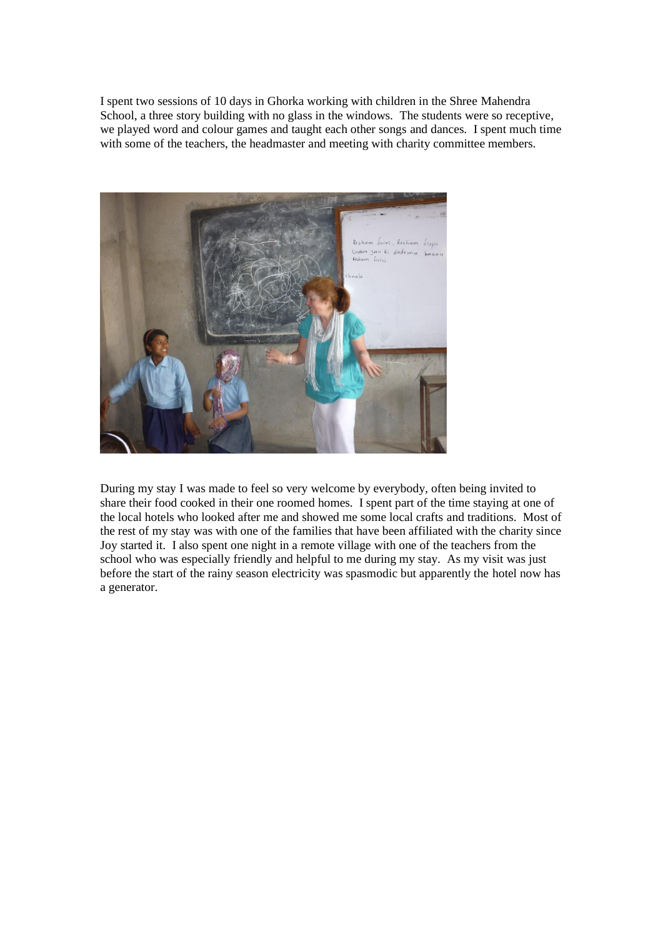I spent two sessions of 10 days in Ghorka working with children in the Shree Mahendra School, a three story building with no glass in the windows. The students were so receptive, we played word and colour games and taught each other songs and dances. I spent much time with some of the teachers, the headmaster and meeting with charity committee members.



During my stay I was made to feel so very welcome by everybody, often being invited to share their food cooked in their one roomed homes. I spent part of the time staying at one of the local hotels who looked after me and showed me some local crafts and traditions. Most of the rest of my stay was with one of the families that have been affiliated with the charity since Joy started it. I also spent one night in a remote village with one of the teachers from the school who was especially friendly and helpful to me during my stay. As my visit was just before the start of the rainy season electricity was spasmodic but apparently the hotel now has a generator.